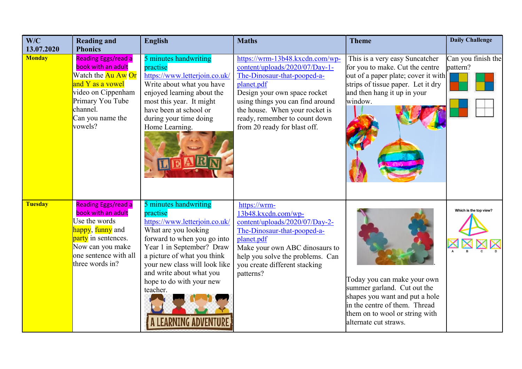| W/C<br>13.07.2020 | <b>Reading and</b><br><b>Phonics</b>                                                                                                                                                  | <b>English</b>                                                                                                                                                                                                                                                                             | <b>Maths</b>                                                                                                                                                                                                                                                                          | <b>Theme</b>                                                                                                                                                                             | <b>Daily Challenge</b>         |
|-------------------|---------------------------------------------------------------------------------------------------------------------------------------------------------------------------------------|--------------------------------------------------------------------------------------------------------------------------------------------------------------------------------------------------------------------------------------------------------------------------------------------|---------------------------------------------------------------------------------------------------------------------------------------------------------------------------------------------------------------------------------------------------------------------------------------|------------------------------------------------------------------------------------------------------------------------------------------------------------------------------------------|--------------------------------|
| <b>Monday</b>     | Reading Eggs/read a<br>book with an adult<br>Watch the <mark>Au Aw Or</mark><br>and Y as a vowel<br>video on Cippenham<br>Primary You Tube<br>channel.<br>Can you name the<br>vowels? | 5 minutes handwriting<br>practise<br>https://www.letterjoin.co.uk/<br>Write about what you have<br>enjoyed learning about the<br>most this year. It might<br>have been at school or<br>during your time doing<br>Home Learning.                                                            | https://wrm-13b48.kxcdn.com/wp-<br>content/uploads/2020/07/Day-1-<br>The-Dinosaur-that-pooped-a-<br>planet.pdf<br>Design your own space rocket<br>using things you can find around<br>the house. When your rocket is<br>ready, remember to count down<br>from 20 ready for blast off. | This is a very easy Suncatcher<br>for you to make. Cut the centre<br>out of a paper plate; cover it with<br>strips of tissue paper. Let it dry<br>and then hang it up in your<br>window. | Can you finish the<br>pattern? |
| <b>Tuesday</b>    | <b>Reading Eggs/read a</b><br>book with an adult<br>Use the words<br>happy, funny and<br>party in sentences.<br>Now can you make<br>one sentence with all<br>three words in?          | 5 minutes handwriting<br>practise<br>https://www.letterjoin.co.uk/<br>What are you looking<br>forward to when you go into<br>Year 1 in September? Draw<br>a picture of what you think<br>your new class will look like<br>and write about what you<br>hope to do with your new<br>teacher. | https://wrm-<br>13b48.kxcdn.com/wp-<br>content/uploads/2020/07/Day-2-<br>The-Dinosaur-that-pooped-a-<br>planet.pdf<br>Make your own ABC dinosaurs to<br>help you solve the problems. Can<br>you create different stacking<br>patterns?                                                | Today you can make your own<br>summer garland. Cut out the<br>shapes you want and put a hole<br>in the centre of them. Thread<br>them on to wool or string with<br>alternate cut straws. | Which is the top view?         |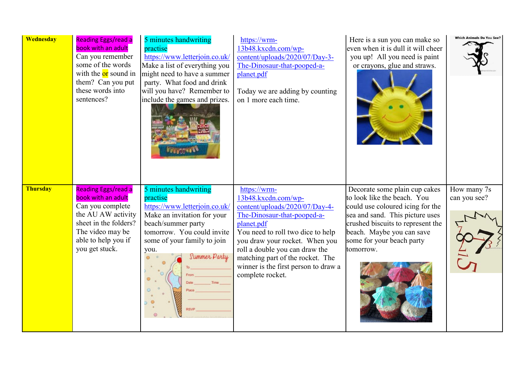| <b>Wednesday</b> | <b>Reading Eggs/read a</b><br>book with an adult<br>Can you remember<br>some of the words<br>with the <b>or</b> sound in<br>them? Can you put<br>these words into<br>sentences?  | 5 minutes handwriting<br>practise<br>https://www.letterjoin.co.uk/<br>Make a list of everything you<br>might need to have a summer<br>party. What food and drink<br>will you have? Remember to<br>include the games and prizes. | https://wrm-<br>13b48.kxcdn.com/wp-<br>content/uploads/2020/07/Day-3-<br>The-Dinosaur-that-pooped-a-<br>planet.pdf<br>Today we are adding by counting<br>on 1 more each time.                                                                                                                                               | Here is a sun you can make so<br>even when it is dull it will cheer<br>you up! All you need is paint<br>or crayons, glue and straws.                                                                                                            | Which Animals Do You See?   |
|------------------|----------------------------------------------------------------------------------------------------------------------------------------------------------------------------------|---------------------------------------------------------------------------------------------------------------------------------------------------------------------------------------------------------------------------------|-----------------------------------------------------------------------------------------------------------------------------------------------------------------------------------------------------------------------------------------------------------------------------------------------------------------------------|-------------------------------------------------------------------------------------------------------------------------------------------------------------------------------------------------------------------------------------------------|-----------------------------|
| <b>Thursday</b>  | <b>Reading Eggs/read a</b><br>book with an adult<br>Can you complete<br>the AU AW activity<br>sheet in the folders?<br>The video may be<br>able to help you if<br>you get stuck. | 5 minutes handwriting<br>practise<br>https://www.letterjoin.co.uk/<br>Make an invitation for your<br>beach/summer party<br>tomorrow. You could invite<br>some of your family to join<br>you.<br>Summer Party                    | https://wrm-<br>13b48.kxcdn.com/wp-<br>content/uploads/2020/07/Day-4-<br>The-Dinosaur-that-pooped-a-<br>planet.pdf<br>You need to roll two dice to help<br>you draw your rocket. When you<br>roll a double you can draw the<br>matching part of the rocket. The<br>winner is the first person to draw a<br>complete rocket. | Decorate some plain cup cakes<br>to look like the beach. You<br>could use coloured icing for the<br>sea and sand. This picture uses<br>crushed biscuits to represent the<br>beach. Maybe you can save<br>some for your beach party<br>tomorrow. | How many 7s<br>can you see? |